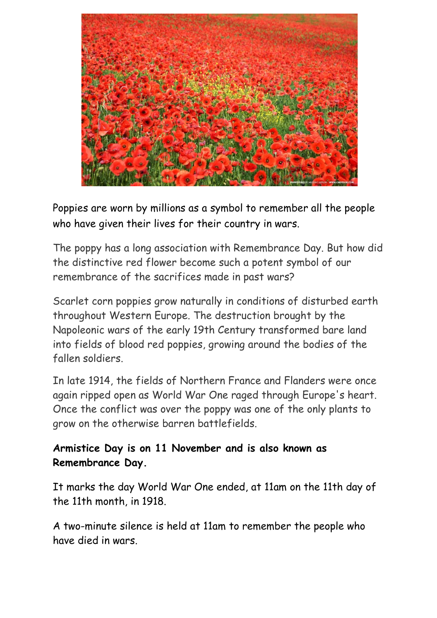

Poppies are worn by millions as a symbol to remember all the people who have given their lives for their country in wars.

The poppy has a long association with Remembrance Day. But how did the distinctive red flower become such a potent symbol of our remembrance of the sacrifices made in past wars?

Scarlet corn poppies grow naturally in conditions of disturbed earth throughout Western Europe. The destruction brought by the Napoleonic wars of the early 19th Century transformed bare land into fields of blood red poppies, growing around the bodies of the fallen soldiers.

In late 1914, the fields of Northern France and Flanders were once again ripped open as World War One raged through Europe's heart. Once the conflict was over the poppy was one of the only plants to grow on the otherwise barren battlefields.

## **Armistice Day is on 11 November and is also known as Remembrance Day.**

It marks the day World War One ended, at 11am on the 11th day of the 11th month, in 1918.

A two-minute silence is held at 11am to remember the people who have died in wars.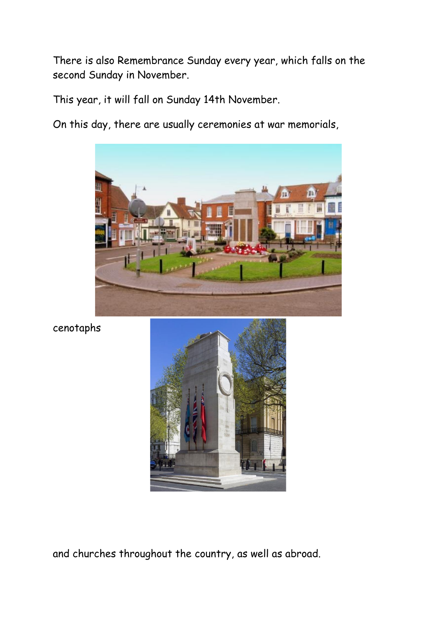There is also Remembrance Sunday every year, which falls on the second Sunday in November.

This year, it will fall on Sunday 14th November.

On this day, there are usually ceremonies at war memorials,



cenotaphs



and churches throughout the country, as well as abroad.